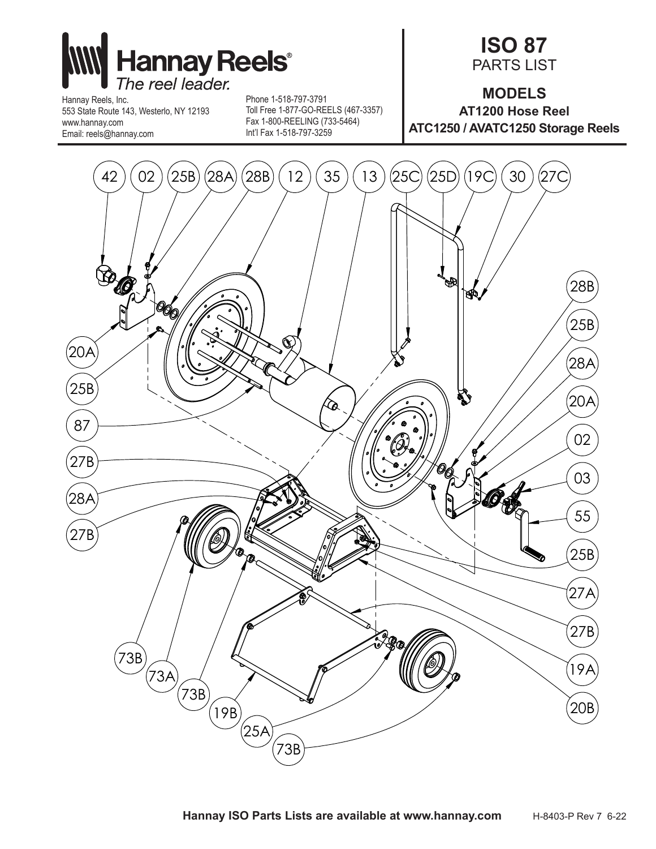

Hannay Reels, Inc. 553 State Route 143, Westerlo, NY 12193 www.hannay.com Email: reels@hannay.com

Phone 1-518-797-3791 Toll Free 1-877-GO-REELS (467-3357) Fax 1-800-REELING (733-5464) Int'l Fax 1-518-797-3259

## **ISO 87** PARTS LIST

**MODELS AT1200 Hose Reel ATC1250 / AVATC1250 Storage Reels**